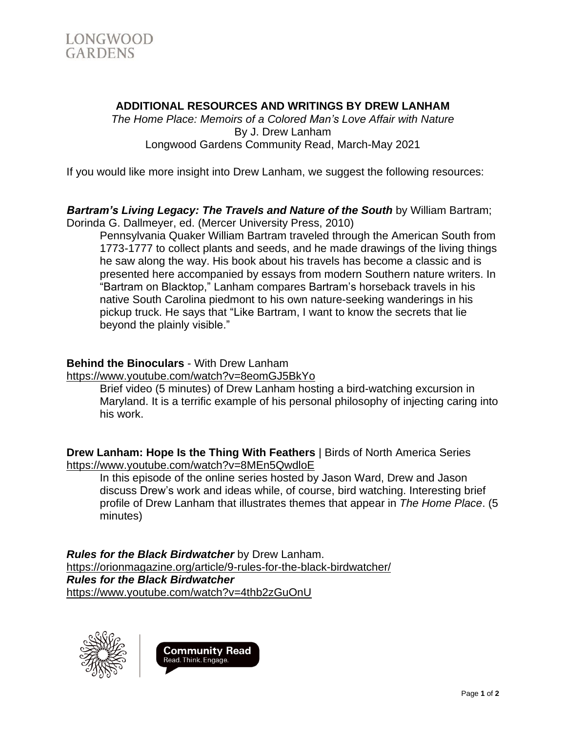

# **ADDITIONAL RESOURCES AND WRITINGS BY DREW LANHAM**

*The Home Place: Memoirs of a Colored Man's Love Affair with Nature* By J. Drew Lanham Longwood Gardens Community Read, March-May 2021

If you would like more insight into Drew Lanham, we suggest the following resources:

#### *Bartram's Living Legacy: The Travels and Nature of the South* by William Bartram; Dorinda G. Dallmeyer, ed. (Mercer University Press, 2010)

Pennsylvania Quaker William Bartram traveled through the American South from 1773-1777 to collect plants and seeds, and he made drawings of the living things he saw along the way. His book about his travels has become a classic and is presented here accompanied by essays from modern Southern nature writers. In "Bartram on Blacktop," Lanham compares Bartram's horseback travels in his native South Carolina piedmont to his own nature-seeking wanderings in his pickup truck. He says that "Like Bartram, I want to know the secrets that lie beyond the plainly visible."

### **Behind the Binoculars** - With Drew Lanham

<https://www.youtube.com/watch?v=8eomGJ5BkYo>

Brief video (5 minutes) of Drew Lanham hosting a bird-watching excursion in Maryland. It is a terrific example of his personal philosophy of injecting caring into his work.

**Drew Lanham: Hope Is the Thing With Feathers** | Birds of North America Series <https://www.youtube.com/watch?v=8MEn5QwdloE>

In this episode of the online series hosted by Jason Ward, Drew and Jason discuss Drew's work and ideas while, of course, bird watching. Interesting brief profile of Drew Lanham that illustrates themes that appear in *The Home Place*. (5 minutes)

*Rules for the Black Birdwatcher* by Drew Lanham. <https://orionmagazine.org/article/9-rules-for-the-black-birdwatcher/> *Rules for the Black Birdwatcher* <https://www.youtube.com/watch?v=4thb2zGuOnU>